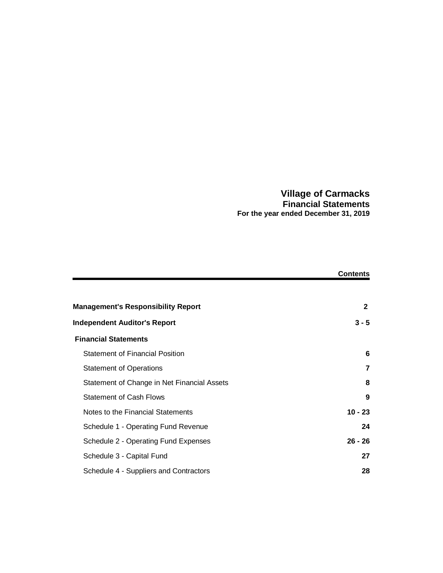## **For the year ended December 31, 2019**

|                                             | <b>Contents</b> |
|---------------------------------------------|-----------------|
|                                             |                 |
| <b>Management's Responsibility Report</b>   | $\mathbf{2}$    |
| <b>Independent Auditor's Report</b>         | $3 - 5$         |
| <b>Financial Statements</b>                 |                 |
| <b>Statement of Financial Position</b>      | 6               |
| <b>Statement of Operations</b>              | 7               |
| Statement of Change in Net Financial Assets | 8               |
| <b>Statement of Cash Flows</b>              | 9               |
| Notes to the Financial Statements           | $10 - 23$       |
| Schedule 1 - Operating Fund Revenue         | 24              |
| Schedule 2 - Operating Fund Expenses        | $26 - 26$       |
| Schedule 3 - Capital Fund                   | 27              |
| Schedule 4 - Suppliers and Contractors      | 28              |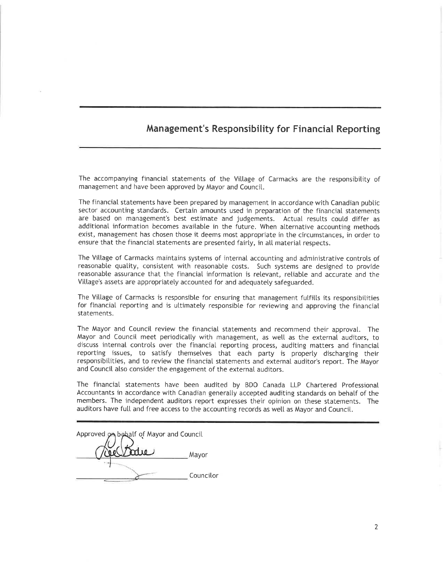## Management's Responsibility for Financial Reporting

The accompanying financial statements of the Village of Carmacks are the responsibility of management and have been approved by Mayor and Council.

The financial statements have been prepared by management in accordance with Canadian public sector accounting standards. Certain amounts used in preparation of the financial statements are based on management's best estimate and judgements. Actual results could differ as additional information becomes available in the future. When alternative accounting methods exist, management has chosen those it deems most appropriate in the circumstances, in order to ensure that the financial statements are presented fairly, in all material respects.

The Village of Carmacks maintains systems of internal accounting and administrative controls of reasonable quality, consistent with reasonable costs. Such systems are designed to provide reasonable assurance that the financial information is relevant, reliable and accurate and the Village's assets are appropriately accounted for and adequately safeguarded.

The Village of Carmacks is responsible for ensuring that management fulfills its responsibilities for financial reporting and is ultimately responsible for reviewing and approving the financial statements.

The Mayor and Council review the financial statements and recommend their approval. The Mayor and Council meet periodically with management, as well as the external auditors, to discuss internal controls over the financial reporting process, auditing matters and financial reporting issues, to satisfy themselves that each party is properly discharging their responsibilities, and to review the financial statements and external auditor's report. The Mayor and Council also consider the engagement of the external auditors.

The financial statements have been audited by BDO Canada LLP Chartered Professional Accountants in accordance with Canadian generally accepted auditing standards on behalf of the members. The independent auditors report expresses their opinion on these statements. The auditors have full and free access to the accounting records as well as Mayor and Council.

Approved on behalf of Mayor and Council Mayor Councilor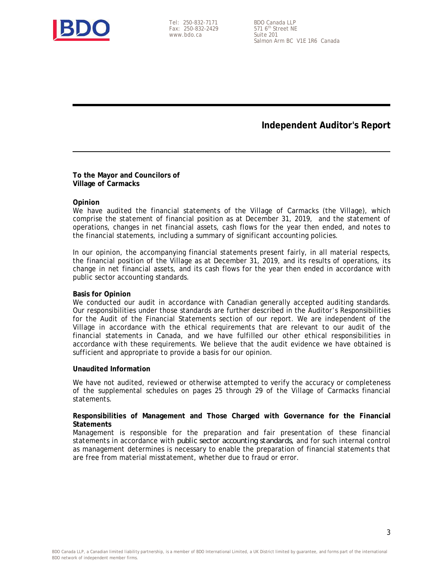

Tel: 250-832-7171 Fax: 250-832-2429 www.bdo.ca

BDO Canada LLP 571 6<sup>th</sup> Street NE Suite 201 Salmon Arm BC V1E 1R6 Canada

**Independent Auditor's Report**

**To the Mayor and Councilors of Village of Carmacks**

## **Opinion**

We have audited the financial statements of the Village of Carmacks (the Village), which comprise the statement of financial position as at December 31, 2019, and the statement of operations, changes in net financial assets, cash flows for the year then ended, and notes to the financial statements, including a summary of significant accounting policies.

In our opinion, the accompanying financial statements present fairly, in all material respects, the financial position of the Village as at December 31, 2019, and its results of operations, its change in net financial assets, and its cash flows for the year then ended in accordance with public sector accounting standards.

## **Basis for Opinion**

We conducted our audit in accordance with Canadian generally accepted auditing standards. Our responsibilities under those standards are further described in the Auditor's Responsibilities for the Audit of the Financial Statements section of our report. We are independent of the Village in accordance with the ethical requirements that are relevant to our audit of the financial statements in Canada, and we have fulfilled our other ethical responsibilities in accordance with these requirements. We believe that the audit evidence we have obtained is sufficient and appropriate to provide a basis for our opinion.

## **Unaudited Information**

We have not audited, reviewed or otherwise attempted to verify the accuracy or completeness of the supplemental schedules on pages 25 through 29 of the Village of Carmacks financial statements.

**Responsibilities of Management and Those Charged with Governance for the Financial Statements**

Management is responsible for the preparation and fair presentation of these financial statements in accordance with *public sector accounting standards*, and for such internal control as management determines is necessary to enable the preparation of financial statements that are free from material misstatement, whether due to fraud or error.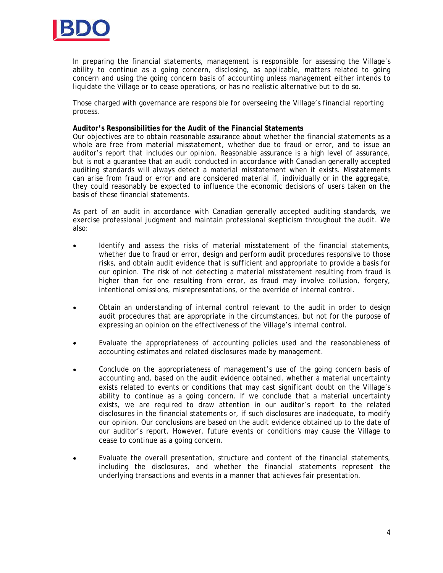

In preparing the financial statements, management is responsible for assessing the Village's ability to continue as a going concern, disclosing, as applicable, matters related to going concern and using the going concern basis of accounting unless management either intends to liquidate the Village or to cease operations, or has no realistic alternative but to do so.

Those charged with governance are responsible for overseeing the Village's financial reporting process.

**Auditor's Responsibilities for the Audit of the Financial Statements**

Our objectives are to obtain reasonable assurance about whether the financial statements as a whole are free from material misstatement, whether due to fraud or error, and to issue an auditor's report that includes our opinion. Reasonable assurance is a high level of assurance, but is not a guarantee that an audit conducted in accordance with Canadian generally accepted auditing standards will always detect a material misstatement when it exists. Misstatements can arise from fraud or error and are considered material if, individually or in the aggregate, they could reasonably be expected to influence the economic decisions of users taken on the basis of these financial statements.

As part of an audit in accordance with Canadian generally accepted auditing standards, we exercise professional judgment and maintain professional skepticism throughout the audit. We also:

- Identify and assess the risks of material misstatement of the financial statements, whether due to fraud or error, design and perform audit procedures responsive to those risks, and obtain audit evidence that is sufficient and appropriate to provide a basis for our opinion. The risk of not detecting a material misstatement resulting from fraud is higher than for one resulting from error, as fraud may involve collusion, forgery, intentional omissions, misrepresentations, or the override of internal control.
- Obtain an understanding of internal control relevant to the audit in order to design  $\bullet$ audit procedures that are appropriate in the circumstances, but not for the purpose of expressing an opinion on the effectiveness of the Village's internal control.
- Evaluate the appropriateness of accounting policies used and the reasonableness of  $\bullet$ accounting estimates and related disclosures made by management.
- Conclude on the appropriateness of management's use of the going concern basis of  $\bullet$ accounting and, based on the audit evidence obtained, whether a material uncertainty exists related to events or conditions that may cast significant doubt on the Village's ability to continue as a going concern. If we conclude that a material uncertainty exists, we are required to draw attention in our auditor's report to the related disclosures in the financial statements or, if such disclosures are inadequate, to modify our opinion. Our conclusions are based on the audit evidence obtained up to the date of our auditor's report. However, future events or conditions may cause the Village to cease to continue as a going concern.
- Evaluate the overall presentation, structure and content of the financial statements,  $\bullet$ including the disclosures, and whether the financial statements represent the underlying transactions and events in a manner that achieves fair presentation.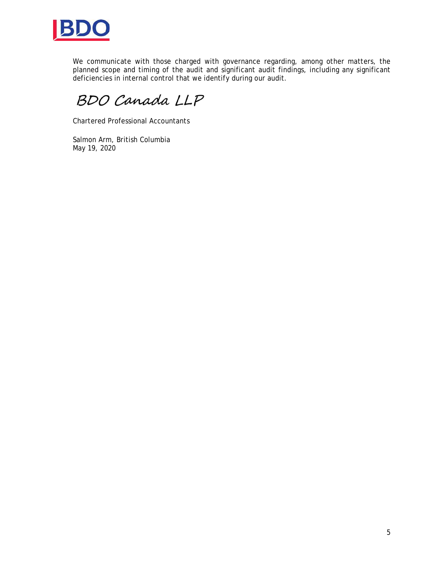

We communicate with those charged with governance regarding, among other matters, the planned scope and timing of the audit and significant audit findings, including any significant deficiencies in internal control that we identify during our audit.

BDO Canada LLP

Chartered Professional Accountants

Salmon Arm, British Columbia May 19, 2020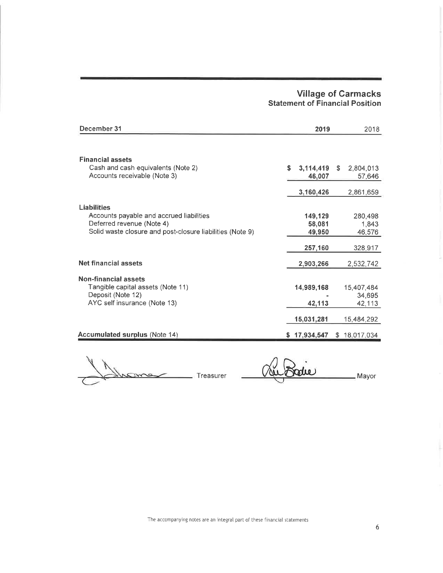## Village of Carmacks<br>Statement of Financial Position

| December 31                                                    | 2019            | 2018            |
|----------------------------------------------------------------|-----------------|-----------------|
|                                                                |                 |                 |
| <b>Financial assets</b>                                        |                 |                 |
| Cash and cash equivalents (Note 2)                             | \$<br>3,114,419 | \$<br>2,804,013 |
| Accounts receivable (Note 3)                                   | 46,007          | 57,646          |
|                                                                | 3,160,426       | 2,861,659       |
|                                                                |                 |                 |
| <b>Liabilities</b><br>Accounts payable and accrued liabilities | 149,129         | 280,498         |
| Deferred revenue (Note 4)                                      | 58,081          | 1,843           |
| Solid waste closure and post-closure liabilities (Note 9)      | 49,950          | 46,576          |
|                                                                | 257,160         | 328,917         |
| <b>Net financial assets</b>                                    |                 |                 |
|                                                                | 2.903.266       | 2,532,742       |
| <b>Non-financial assets</b>                                    |                 |                 |
| Tangible capital assets (Note 11)                              | 14,989,168      | 15,407,484      |
| Deposit (Note 12)                                              |                 | 34,695          |
| AYC self insurance (Note 13)                                   | 42,113          | 42,113          |
|                                                                | 15,031,281      | 15,484,292      |
| <b>Accumulated surplus (Note 14)</b>                           | \$17,934,547    | \$18,017,034    |
|                                                                |                 |                 |
| <b>Treasurer</b>                                               |                 | Mayor           |

The accompanying notes are an integral part of these financial statements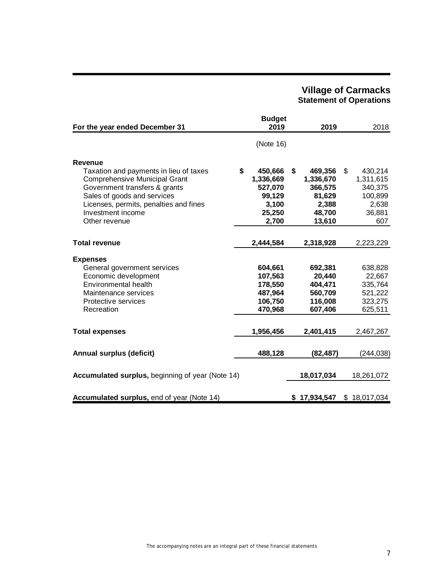## **Village of Carmacks Statement of Operations**

| For the year ended December 31                                                                                                                                                                                                            | <b>Budget</b><br>2019                                                       | 2019                                                                         | 2018                                                                       |
|-------------------------------------------------------------------------------------------------------------------------------------------------------------------------------------------------------------------------------------------|-----------------------------------------------------------------------------|------------------------------------------------------------------------------|----------------------------------------------------------------------------|
|                                                                                                                                                                                                                                           | (Note 16)                                                                   |                                                                              |                                                                            |
| <b>Revenue</b><br>Taxation and payments in lieu of taxes<br>Comprehensive Municipal Grant<br>Government transfers & grants<br>Sales of goods and services<br>Licenses, permits, penalties and fines<br>Investment income<br>Other revenue | \$<br>450,666<br>1,336,669<br>527,070<br>99,129<br>3,100<br>25,250<br>2,700 | \$<br>469,356<br>1,336,670<br>366,575<br>81,629<br>2,388<br>48,700<br>13,610 | \$<br>430,214<br>1,311,615<br>340,375<br>100,899<br>2,638<br>36,881<br>607 |
| <b>Total revenue</b>                                                                                                                                                                                                                      | 2,444,584                                                                   | 2,318,928                                                                    | 2,223,229                                                                  |
| <b>Expenses</b><br>General government services<br>Economic development<br>Environmental health<br>Maintenance services<br>Protective services<br>Recreation                                                                               | 604,661<br>107,563<br>178,550<br>487,964<br>106,750<br>470,968              | 692,381<br>20,440<br>404,471<br>560,709<br>116,008<br>607,406                | 638,828<br>22,667<br>335,764<br>521,222<br>323,275<br>625,511              |
| <b>Total expenses</b>                                                                                                                                                                                                                     | 1,956,456                                                                   | 2,401,415                                                                    | 2,467,267                                                                  |
| <b>Annual surplus (deficit)</b>                                                                                                                                                                                                           | 488,128                                                                     | (82, 487)                                                                    | (244,038)                                                                  |
| Accumulated surplus, beginning of year (Note 14)                                                                                                                                                                                          |                                                                             | 18,017,034                                                                   | 18,261,072                                                                 |
| Accumulated surplus, end of year (Note 14)                                                                                                                                                                                                |                                                                             | \$17,934,547                                                                 | \$18,017,034                                                               |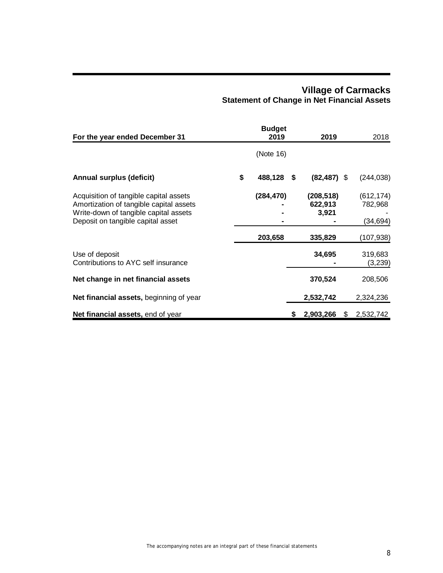## **Village of Carmacks Statement of Change in Net Financial Assets**

| For the year ended December 31                                                                                                                                  | <b>Budget</b><br>2019 |      | 2019                           | 2018                               |
|-----------------------------------------------------------------------------------------------------------------------------------------------------------------|-----------------------|------|--------------------------------|------------------------------------|
|                                                                                                                                                                 | (Note 16)             |      |                                |                                    |
| <b>Annual surplus (deficit)</b>                                                                                                                                 | \$<br>488,128         | - \$ | $(82, 487)$ \$                 | (244, 038)                         |
| Acquisition of tangible capital assets<br>Amortization of tangible capital assets<br>Write-down of tangible capital assets<br>Deposit on tangible capital asset | (284, 470)            |      | (208, 518)<br>622,913<br>3,921 | (612, 174)<br>782,968<br>(34, 694) |
|                                                                                                                                                                 | 203,658               |      | 335,829                        | (107, 938)                         |
| Use of deposit<br>Contributions to AYC self insurance                                                                                                           |                       |      | 34,695                         | 319,683<br>(3,239)                 |
| Net change in net financial assets                                                                                                                              |                       |      | 370,524                        | 208,506                            |
| Net financial assets, beginning of year                                                                                                                         |                       |      | 2,532,742                      | 2,324,236                          |
| Net financial assets, end of year                                                                                                                               |                       |      | 2,903,266                      | \$<br>2,532,742                    |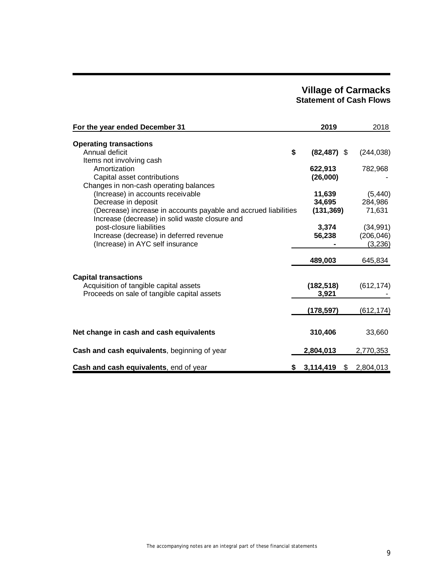## **Village of Carmacks Statement of Cash Flows**

| For the year ended December 31                                                                                                                                                | 2019                           | 2018                              |
|-------------------------------------------------------------------------------------------------------------------------------------------------------------------------------|--------------------------------|-----------------------------------|
| <b>Operating transactions</b><br>Annual deficit                                                                                                                               | \$<br>$(82, 487)$ \$           | (244, 038)                        |
| Items not involving cash<br>Amortization<br>Capital asset contributions<br>Changes in non-cash operating balances                                                             | 622,913<br>(26,000)            | 782,968                           |
| (Increase) in accounts receivable<br>Decrease in deposit<br>(Decrease) increase in accounts payable and accrued liabilities<br>Increase (decrease) in solid waste closure and | 11,639<br>34,695<br>(131, 369) | (5,440)<br>284,986<br>71,631      |
| post-closure liabilities<br>Increase (decrease) in deferred revenue<br>(Increase) in AYC self insurance                                                                       | 3,374<br>56,238                | (34,991)<br>(206, 046)<br>(3,236) |
|                                                                                                                                                                               | 489,003                        | 645,834                           |
| <b>Capital transactions</b><br>Acquisition of tangible capital assets<br>Proceeds on sale of tangible capital assets                                                          | (182, 518)<br>3,921            | (612, 174)                        |
|                                                                                                                                                                               | (178,597)                      | <u>(612,174)</u>                  |
| Net change in cash and cash equivalents                                                                                                                                       | 310,406                        | 33,660                            |
| Cash and cash equivalents, beginning of year                                                                                                                                  | 2,804,013                      | 2,770,353                         |
| Cash and cash equivalents, end of year                                                                                                                                        | \$3,114,419<br>\$              | 2,804,013                         |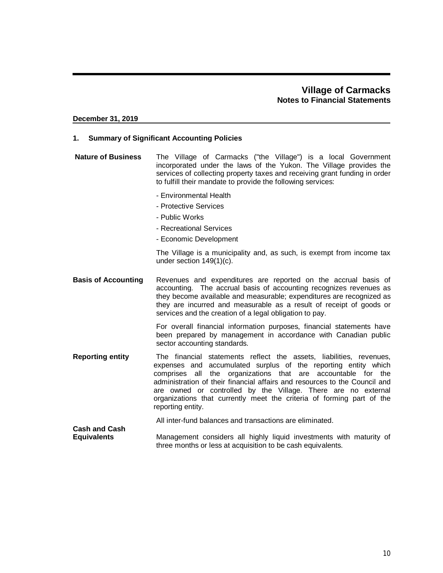## **December 31, 2019**

## **1. Summary of Significant Accounting Policies**

- **Nature of Business** The Village of Carmacks ("the Village") is a local Government incorporated under the laws of the Yukon. The Village provides the services of collecting property taxes and receiving grant funding in order to fulfill their mandate to provide the following services:
	- Environmental Health
	- Protective Services
	- Public Works
	- Recreational Services
	- Economic Development

The Village is a municipality and, as such, is exempt from income tax under section 149(1)(c).

**Basis of Accounting** Revenues and expenditures are reported on the accrual basis of accounting. The accrual basis of accounting recognizes revenues as they become available and measurable; expenditures are recognized as they are incurred and measurable as a result of receipt of goods or services and the creation of a legal obligation to pay.

> For overall financial information purposes, financial statements have been prepared by management in accordance with Canadian public sector accounting standards.

**Reporting entity** The financial statements reflect the assets, liabilities, revenues, expenses and accumulated surplus of the reporting entity which comprises all the organizations that are accountable for the administration of their financial affairs and resources to the Council and are owned or controlled by the Village. There are no external organizations that currently meet the criteria of forming part of the reporting entity.

All inter-fund balances and transactions are eliminated. **Cash and Cash Equivalents** Management considers all highly liquid investments with maturity of three months or less at acquisition to be cash equivalents.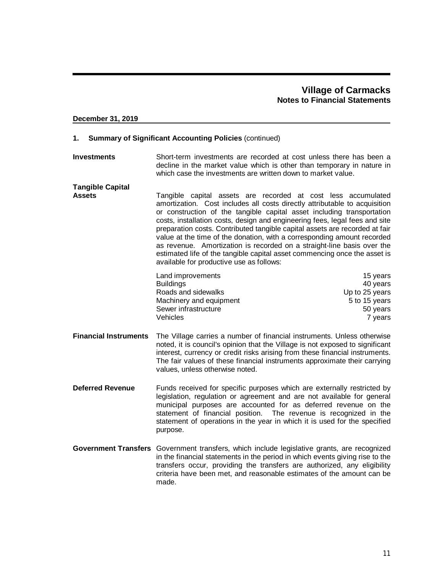## **December 31, 2019**

## **1. Summary of Significant Accounting Policies** (continued)

**Investments** Short-term investments are recorded at cost unless there has been a decline in the market value which is other than temporary in nature in which case the investments are written down to market value.

## **Tangible Capital**

**Assets** Tangible capital assets are recorded at cost less accumulated amortization. Cost includes all costs directly attributable to acquisition or construction of the tangible capital asset including transportation costs, installation costs, design and engineering fees, legal fees and site preparation costs. Contributed tangible capital assets are recorded at fair value at the time of the donation, with a corresponding amount recorded as revenue. Amortization is recorded on a straight-line basis over the estimated life of the tangible capital asset commencing once the asset is available for productive use as follows:

| Land improvements       | 15 years       |
|-------------------------|----------------|
| <b>Buildings</b>        | 40 years       |
| Roads and sidewalks     | Up to 25 years |
| Machinery and equipment | 5 to 15 years  |
| Sewer infrastructure    | 50 years       |
| <b>Vehicles</b>         | 7 years        |

- **Financial Instruments** The Village carries a number of financial instruments. Unless otherwise noted, it is council's opinion that the Village is not exposed to significant interest, currency or credit risks arising from these financial instruments. The fair values of these financial instruments approximate their carrying values, unless otherwise noted.
- **Deferred Revenue** Funds received for specific purposes which are externally restricted by legislation, regulation or agreement and are not available for general municipal purposes are accounted for as deferred revenue on the statement of financial position. The revenue is recognized in the statement of operations in the year in which it is used for the specified purpose.
- **Government Transfers** Government transfers, which include legislative grants, are recognized in the financial statements in the period in which events giving rise to the transfers occur, providing the transfers are authorized, any eligibility criteria have been met, and reasonable estimates of the amount can be made.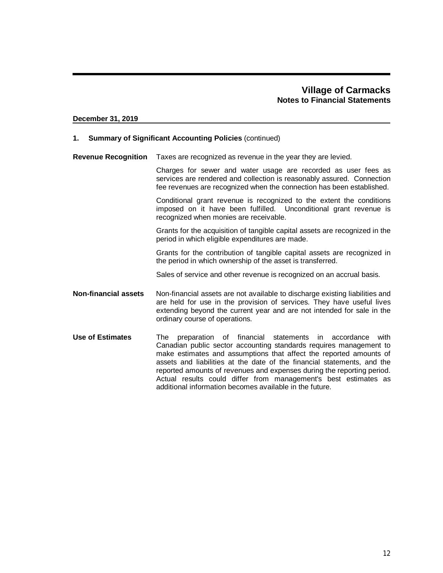## **December 31, 2019**

## **1. Summary of Significant Accounting Policies** (continued)

**Revenue Recognition** Taxes are recognized as revenue in the year they are levied.

Charges for sewer and water usage are recorded as user fees as services are rendered and collection is reasonably assured. Connection fee revenues are recognized when the connection has been established.

Conditional grant revenue is recognized to the extent the conditions imposed on it have been fulfilled. Unconditional grant revenue is recognized when monies are receivable.

Grants for the acquisition of tangible capital assets are recognized in the period in which eligible expenditures are made.

Grants for the contribution of tangible capital assets are recognized in the period in which ownership of the asset is transferred.

Sales of service and other revenue is recognized on an accrual basis.

- **Non-financial assets** Non-financial assets are not available to discharge existing liabilities and are held for use in the provision of services. They have useful lives extending beyond the current year and are not intended for sale in the ordinary course of operations.
- **Use of Estimates** The preparation of financial statements in accordance with Canadian public sector accounting standards requires management to make estimates and assumptions that affect the reported amounts of assets and liabilities at the date of the financial statements, and the reported amounts of revenues and expenses during the reporting period. Actual results could differ from management's best estimates as additional information becomes available in the future.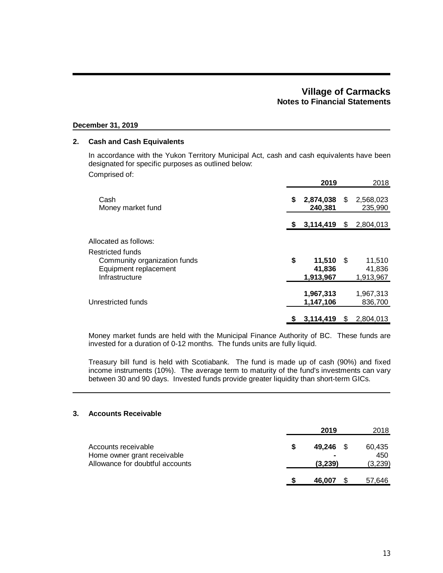## **December 31, 2019**

## **2. Cash and Cash Equivalents**

In accordance with the Yukon Territory Municipal Act, cash and cash equivalents have been designated for specific purposes as outlined below:

Comprised of:

|                                                                         |     | 2019                          |      | 2018                          |
|-------------------------------------------------------------------------|-----|-------------------------------|------|-------------------------------|
| Cash<br>Money market fund                                               | \$  | 2,874,038<br>240,381          | \$   | 2,568,023<br>235,990          |
|                                                                         | \$. | 3,114,419                     | S    | 2,804,013                     |
| Allocated as follows:                                                   |     |                               |      |                               |
| Restricted funds                                                        |     |                               |      |                               |
| Community organization funds<br>Equipment replacement<br>Infrastructure | \$  | 11,510<br>41,836<br>1,913,967 | - \$ | 11,510<br>41,836<br>1,913,967 |
|                                                                         |     | 1,967,313                     |      | 1,967,313                     |
| Unrestricted funds                                                      |     | 1,147,106                     |      | 836,700                       |
|                                                                         |     | 3,114,419                     | \$.  | 2.804.013                     |

Money market funds are held with the Municipal Finance Authority of BC. These funds are invested for a duration of 0-12 months. The funds units are fully liquid.

Treasury bill fund is held with Scotiabank. The fund is made up of cash (90%) and fixed income instruments (10%). The average term to maturity of the fund's investments can vary between 30 and 90 days. Invested funds provide greater liquidity than short-term GICs.

## **3. Accounts Receivable**

|                                                                                       | 2019                 | 2018                     |
|---------------------------------------------------------------------------------------|----------------------|--------------------------|
| Accounts receivable<br>Home owner grant receivable<br>Allowance for doubtful accounts | 49.246 \$<br>(3,239) | 60,435<br>450<br>(3,239) |
|                                                                                       | 46.007               | 57,646                   |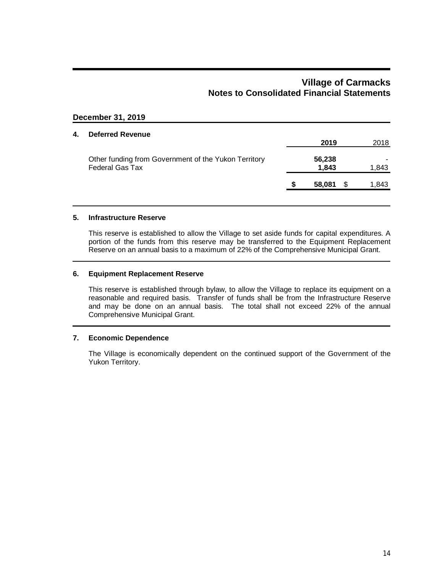## **Village of Carmacks Notes to Consolidated Financial Statements**

## **December 31, 2019**

## **4. Deferred Revenue**

| <u>PUIVIIVA INVITUTU</u>                                                       | 2019            |      | 2018  |
|--------------------------------------------------------------------------------|-----------------|------|-------|
| Other funding from Government of the Yukon Territory<br><b>Federal Gas Tax</b> | 56,238<br>1.843 |      | 1,843 |
|                                                                                | 58.081          | - \$ | 1.843 |

## **5. Infrastructure Reserve**

This reserve is established to allow the Village to set aside funds for capital expenditures. A portion of the funds from this reserve may be transferred to the Equipment Replacement Reserve on an annual basis to a maximum of 22% of the Comprehensive Municipal Grant.

## **6. Equipment Replacement Reserve**

This reserve is established through bylaw, to allow the Village to replace its equipment on a reasonable and required basis. Transfer of funds shall be from the Infrastructure Reserve and may be done on an annual basis. The total shall not exceed 22% of the annual Comprehensive Municipal Grant.

## **7. Economic Dependence**

The Village is economically dependent on the continued support of the Government of the Yukon Territory.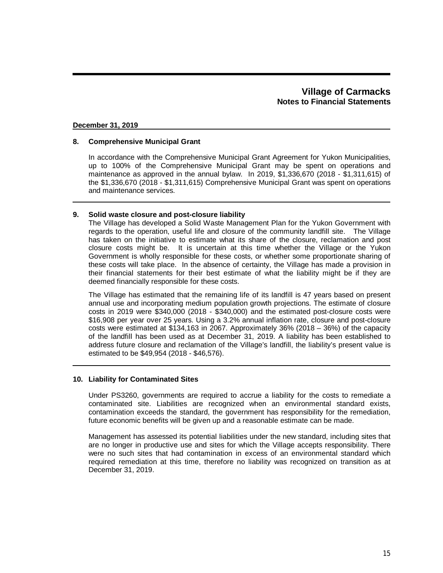## **December 31, 2019**

## **8. Comprehensive Municipal Grant**

In accordance with the Comprehensive Municipal Grant Agreement for Yukon Municipalities, up to 100% of the Comprehensive Municipal Grant may be spent on operations and maintenance as approved in the annual bylaw. In 2019, \$1,336,670 (2018 - \$1,311,615) of the \$1,336,670 (2018 - \$1,311,615) Comprehensive Municipal Grant was spent on operations and maintenance services.

## **9. Solid waste closure and post-closure liability**

The Village has developed a Solid Waste Management Plan for the Yukon Government with regards to the operation, useful life and closure of the community landfill site. The Village has taken on the initiative to estimate what its share of the closure, reclamation and post closure costs might be. It is uncertain at this time whether the Village or the Yukon Government is wholly responsible for these costs, or whether some proportionate sharing of these costs will take place. In the absence of certainty, the Village has made a provision in their financial statements for their best estimate of what the liability might be if they are deemed financially responsible for these costs.

The Village has estimated that the remaining life of its landfill is 47 years based on present annual use and incorporating medium population growth projections. The estimate of closure costs in 2019 were \$340,000 (2018 - \$340,000) and the estimated post-closure costs were \$16,908 per year over 25 years. Using a 3.2% annual inflation rate, closure and post-closure costs were estimated at \$134,163 in 2067. Approximately 36% (2018 – 36%) of the capacity of the landfill has been used as at December 31, 2019. A liability has been established to address future closure and reclamation of the Village's landfill, the liability's present value is estimated to be \$49,954 (2018 - \$46,576).

### **10. Liability for Contaminated Sites**

Under PS3260, governments are required to accrue a liability for the costs to remediate a contaminated site. Liabilities are recognized when an environmental standard exists, contamination exceeds the standard, the government has responsibility for the remediation, future economic benefits will be given up and a reasonable estimate can be made.

Management has assessed its potential liabilities under the new standard, including sites that are no longer in productive use and sites for which the Village accepts responsibility. There were no such sites that had contamination in excess of an environmental standard which required remediation at this time, therefore no liability was recognized on transition as at December 31, 2019.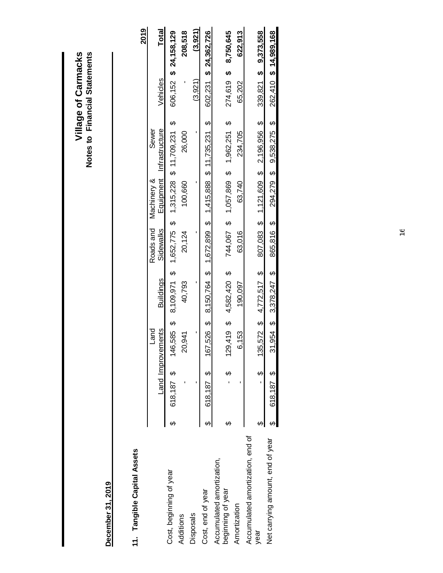Village of Carmacks<br>Notes to Financial Statements **Village of Carmacks Notes to Financial Statements**

> December 31, 2019 **December 31, 2019**

## 11. Tangible Capital Assets **11. Tangible Capital Assets**

|                                  |              |               |                             |                                    |         |                                                                   |                       | 2019    |
|----------------------------------|--------------|---------------|-----------------------------|------------------------------------|---------|-------------------------------------------------------------------|-----------------------|---------|
|                                  | Land Improve | ments<br>Land | <b>Buildings</b>            | Roads and Machinery &<br>Sidewalks |         | Equipment Infrastructure<br>Sewer                                 | Vehicles              | Total   |
|                                  |              |               |                             |                                    |         |                                                                   |                       |         |
| Cost, beginning of year          | 618,187 \$   |               |                             |                                    |         | 146,585 \$ 8,109,971 \$ 1,652,775 \$ 1,315,228 \$ 11,709,231 \$   | 606,152 \$ 24,158,129 |         |
| Additions                        |              | 0.941<br>ส    | 40,793                      | 20,124                             | 100,660 | 26,000                                                            |                       | 208,518 |
| <b>Disposals</b>                 |              |               |                             |                                    |         |                                                                   | (3.921)               | (3.921) |
| Cost, end of year                | 618,187 \$   |               |                             |                                    |         | $167,526$ \$ 8,150,764 \$ 1,672,899 \$ 1,415,888 \$ 11,735,231 \$ | 602,231 \$ 24,362,726 |         |
| Accumulated amortization,        |              |               |                             |                                    |         |                                                                   |                       |         |
| beginning of year                |              |               | $129,419$ \$ 4,582,420 \$   |                                    |         | 744,067 \$ 1,057,869 \$ 1,962,251 \$                              | 274,619 \$ 8,750,645  |         |
| Amortization                     |              | 6,153         | 190.097                     | 63.016                             | 63,740  | 234,705                                                           | 65.202                | 622.913 |
| Accumulated amortization, end of |              |               |                             |                                    |         |                                                                   |                       |         |
| year                             | پ<br>,       |               | $135,572$ \$ $4,772,517$ \$ |                                    |         | 807,083 \$ 1,121,609 \$ 2,196,956 \$                              | 339,821 \$ 9,373,558  |         |
| Net carrying amount, end of year | 618,187 \$   |               | $31,954$ \$ 3,378,247 \$    | 865,816 \$                         |         | 294,279 \$ 9,538,275 \$                                           | 262,410 \$ 14,989,168 |         |

16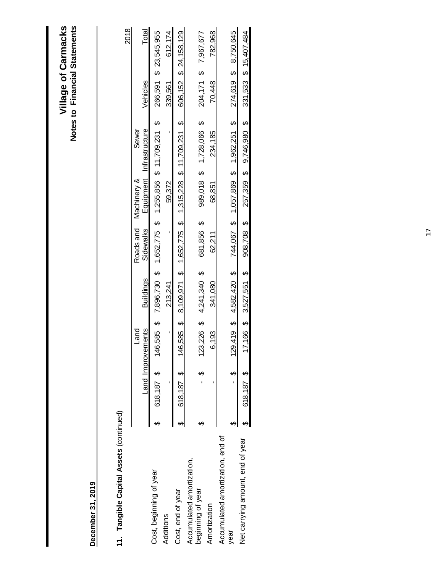## Village of Carmacks<br>Notes to Financial Statements **Village of Carmacks Notes to Financial Statements**

## December 31, 2019 **December 31, 2019**

## 11. Tangible Capital Assets (continued) **11. Tangible Capital Assets** (continued)

|                                  |            |                   |                                                                            |                                   |                          |                                                                                                 | <b>2018</b>           |
|----------------------------------|------------|-------------------|----------------------------------------------------------------------------|-----------------------------------|--------------------------|-------------------------------------------------------------------------------------------------|-----------------------|
|                                  |            | Land              |                                                                            | Roads and Machinery &             |                          | Sewer                                                                                           |                       |
|                                  |            | Land Improvements | <b>Buildings</b>                                                           | Sidewalks                         | Equipment Infrastructure |                                                                                                 | Total<br>Vehicles     |
| Cost, beginning of year          |            |                   | 618,187 \$ 746,585 \$ 7,896,730 \$ 1,652,775 \$ 1,255,856 \$ 11,709,231 \$ |                                   |                          |                                                                                                 | 266,591 \$ 23,545,955 |
| Additions                        |            |                   | 213,241                                                                    |                                   | 59.372                   |                                                                                                 | 612,174<br>339,561    |
| Cost, end of year                |            |                   |                                                                            |                                   |                          | 618,187 \$46,585 \$8,109,971 \$1,652,775 \$1,315,228 \$11,709,231 \$                            | 606,152 \$ 24,158,129 |
| Accumulated amortization,        |            |                   |                                                                            |                                   |                          |                                                                                                 |                       |
| beginning of year                |            |                   | $123,226$ \$ 4,241,340 \$                                                  | $\boldsymbol{\varphi}$<br>681,856 |                          | 989,018 \$ 1,728,066 \$                                                                         | 204,171 \$ 7,967,677  |
| Amortization                     |            | 6,193             | 341,080                                                                    | 62.211                            | 68.851                   | 234,185                                                                                         | 782.968<br>70,448     |
| Accumulated amortization, end of |            |                   |                                                                            |                                   |                          |                                                                                                 |                       |
| year                             |            |                   |                                                                            |                                   |                          | $-$ \$ $-$ 389,479 \$ $-$ 44,067 \$ $-$ 744,067 \$ $-$ 47,057,882,429 \$ $-$ 45,062,262,262,264 | 274,619 \$ 8,750,645  |
| Net carrying amount, end of year | 618,187 \$ |                   | 7,166 \$ 3,527,551 \$                                                      | 908,708\$                         |                          | 257,359 \$ 9,746,980 \$                                                                         | 331,533 \$ 15,407,484 |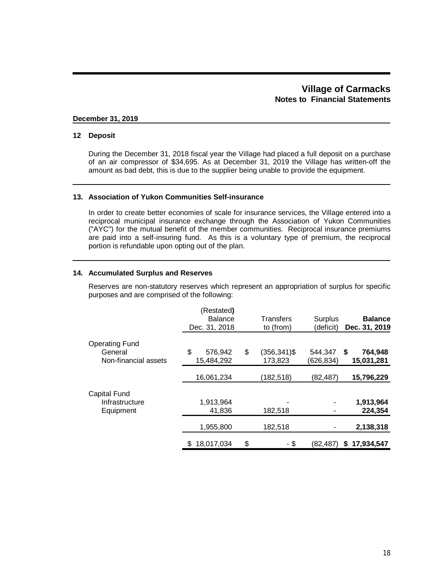## **December 31, 2019**

## **12 Deposit**

During the December 31, 2018 fiscal year the Village had placed a full deposit on a purchase of an air compressor of \$34,695. As at December 31, 2019 the Village has written-off the amount as bad debt, this is due to the supplier being unable to provide the equipment.

## **13. Association of Yukon Communities Self-insurance**

In order to create better economies of scale for insurance services, the Village entered into a reciprocal municipal insurance exchange through the Association of Yukon Communities ("AYC") for the mutual benefit of the member communities. Reciprocal insurance premiums are paid into a self-insuring fund. As this is a voluntary type of premium, the reciprocal portion is refundable upon opting out of the plan.

## **14. Accumulated Surplus and Reserves**

Reserves are non-statutory reserves which represent an appropriation of surplus for specific purposes and are comprised of the following:

|                      | (Restated)<br><b>Balance</b><br>Dec. 31, 2018 | Transfers<br>to (from) | Surplus<br>(deficit) | <b>Balance</b><br>Dec. 31, 2019 |
|----------------------|-----------------------------------------------|------------------------|----------------------|---------------------------------|
| Operating Fund       |                                               |                        |                      |                                 |
| General              | \$<br>576,942                                 | \$<br>$(356, 341)$ \$  | 544.347              | 764,948<br>S                    |
| Non-financial assets | 15,484,292                                    | 173,823                | (626,834)            | 15,031,281                      |
|                      |                                               |                        |                      |                                 |
|                      | 16,061,234                                    | (182, 518)             | (82,487)             | 15,796,229                      |
| Capital Fund         |                                               |                        |                      |                                 |
| Infrastructure       | 1,913,964                                     |                        |                      | 1,913,964                       |
| Equipment            | 41,836                                        | 182,518                |                      | 224.354                         |
|                      | 1,955,800                                     | 182,518                |                      | 2,138,318                       |
|                      | 18,017,034<br>S                               | \$<br>- \$             | (82.487)             | 17,934,547<br>S                 |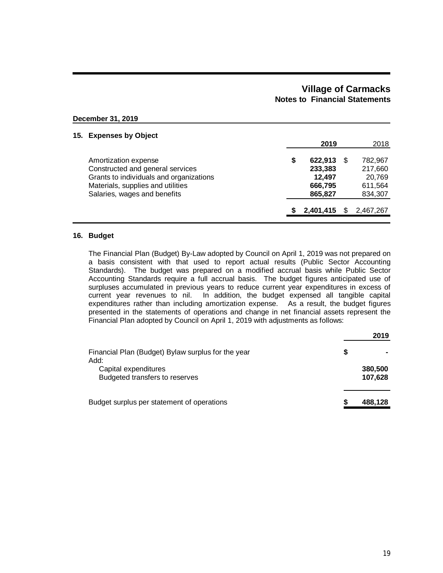## **15. Expenses by Object 2019** 2018 Amortization expense **1988 622,913** \$ 782,967<br>Constructed and general services **1998 622,913 622,913** \$ 782,967 Constructed and general services **233,383** 217,660 Grants to individuals and organizations **12,497** 20,769 Materials, supplies and utilities **666,795** 611,564 Salaries, wages and benefits **865,827** 834,307 **\$ 2,401,415** \$ 2,467,267

## **16. Budget**

**December 31, 2019**

The Financial Plan (Budget) By-Law adopted by Council on April 1, 2019 was not prepared on a basis consistent with that used to report actual results (Public Sector Accounting Standards). The budget was prepared on a modified accrual basis while Public Sector Accounting Standards require a full accrual basis. The budget figures anticipated use of surpluses accumulated in previous years to reduce current year expenditures in excess of current year revenues to nil. In addition, the budget expensed all tangible capital expenditures rather than including amortization expense. As a result, the budget figures presented in the statements of operations and change in net financial assets represent the Financial Plan adopted by Council on April 1, 2019 with adjustments as follows:

|                                                            |   | 2019               |
|------------------------------------------------------------|---|--------------------|
| Financial Plan (Budget) Bylaw surplus for the year<br>Add: | S |                    |
| Capital expenditures<br>Budgeted transfers to reserves     |   | 380,500<br>107.628 |
| Budget surplus per statement of operations                 |   | 488,128            |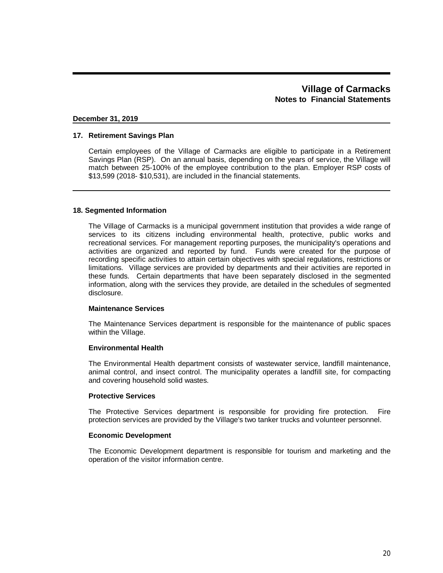## **December 31, 2019**

## **17. Retirement Savings Plan**

Certain employees of the Village of Carmacks are eligible to participate in a Retirement Savings Plan (RSP). On an annual basis, depending on the years of service, the Village will match between 25-100% of the employee contribution to the plan. Employer RSP costs of \$13,599 (2018- \$10,531), are included in the financial statements.

## **18. Segmented Information**

The Village of Carmacks is a municipal government institution that provides a wide range of services to its citizens including environmental health, protective, public works and recreational services. For management reporting purposes, the municipality's operations and activities are organized and reported by fund. Funds were created for the purpose of recording specific activities to attain certain objectives with special regulations, restrictions or limitations. Village services are provided by departments and their activities are reported in these funds. Certain departments that have been separately disclosed in the segmented information, along with the services they provide, are detailed in the schedules of segmented disclosure.

### **Maintenance Services**

The Maintenance Services department is responsible for the maintenance of public spaces within the Village.

## **Environmental Health**

The Environmental Health department consists of wastewater service, landfill maintenance, animal control, and insect control. The municipality operates a landfill site, for compacting and covering household solid wastes.

### **Protective Services**

The Protective Services department is responsible for providing fire protection. Fire protection services are provided by the Village's two tanker trucks and volunteer personnel.

### **Economic Development**

The Economic Development department is responsible for tourism and marketing and the operation of the visitor information centre.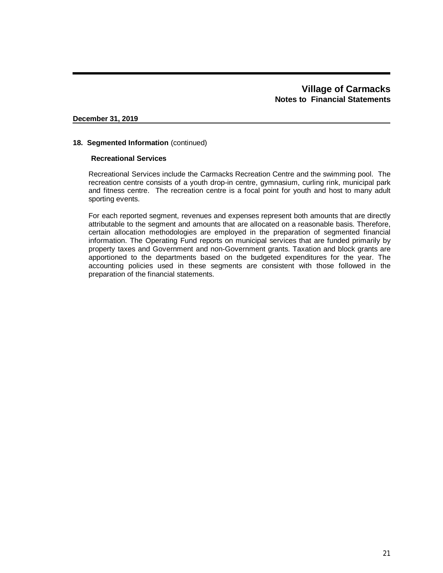## **December 31, 2019**

## **18. Segmented Information** (continued)

## **Recreational Services**

Recreational Services include the Carmacks Recreation Centre and the swimming pool. The recreation centre consists of a youth drop-in centre, gymnasium, curling rink, municipal park and fitness centre. The recreation centre is a focal point for youth and host to many adult sporting events.

For each reported segment, revenues and expenses represent both amounts that are directly attributable to the segment and amounts that are allocated on a reasonable basis. Therefore, certain allocation methodologies are employed in the preparation of segmented financial information. The Operating Fund reports on municipal services that are funded primarily by property taxes and Government and non-Government grants. Taxation and block grants are apportioned to the departments based on the budgeted expenditures for the year. The accounting policies used in these segments are consistent with those followed in the preparation of the financial statements.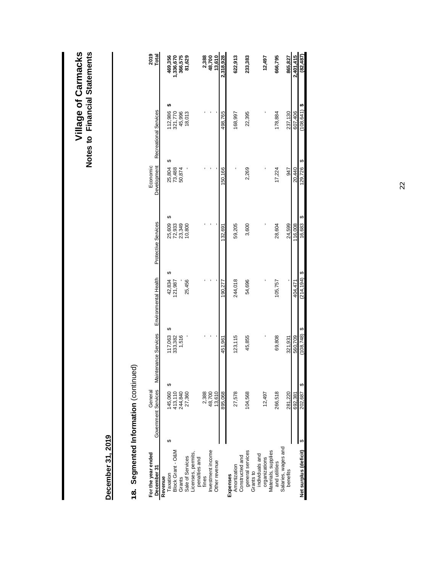## Village of Carmacks<br>Notes to Financial Statements **Village of Carmacks Notes to Financial Statements**

## December 31, 2019 **December 31, 2019**

# 18. Segmented Information (continued) **18. Segmented Information** (continued)

| For the year ended                  | General                      |                       |                                           |                            | Economic         |                       | 2019            |
|-------------------------------------|------------------------------|-----------------------|-------------------------------------------|----------------------------|------------------|-----------------------|-----------------|
| December 31                         | Government Services          |                       | Maintenance Services Environmental Health | Protective Services        | Development      | Recreational Services | Total           |
| Revenue                             |                              |                       |                                           |                            |                  |                       |                 |
| Taxation                            | 145,060<br>မာ                | မာ                    | ↔<br>42,834<br>↮                          | ഗ                          | ↮                | မာ<br>12,986          | 469,356         |
| Block Grant - O&M                   |                              | 117,063<br>333,382    | 121,987                                   | 25,609<br>72,933<br>23,349 | 25,804<br>73,488 | 321,770               | ,336,670        |
| Grants                              |                              | 1,516                 |                                           |                            | 50,874           | 45,996                | 366,575         |
| Sale of Services                    | 413,110<br>244,840<br>27,360 |                       | 25,456                                    | 10,800                     |                  | 18,013                | 81,629          |
| Licenses, permits,<br>penalties and |                              |                       |                                           |                            |                  |                       |                 |
| fines                               |                              |                       |                                           |                            |                  |                       |                 |
| Investment income                   | 2,388<br>48,700              |                       |                                           |                            |                  |                       | 2,388<br>48,700 |
| Other revenue                       | 13,610                       |                       |                                           |                            |                  |                       | 13,610          |
|                                     | 895,068                      | 451,961               | 190,277                                   | 132,691                    | 150,166          | 498,765               | 2,318,928       |
| Expenses                            |                              |                       |                                           |                            |                  |                       |                 |
| Amortization                        | 27,578                       | 123,115               | 244,018                                   | 59,205                     |                  | 168,997               | 622,913         |
| Constructed and                     |                              |                       |                                           |                            |                  |                       |                 |
| general services                    | 104,568                      | 45,855                | 54,696                                    | 3,600                      | 2,269            | 22,395                | 233,383         |
| Grants to<br>individuals and        |                              |                       |                                           |                            |                  |                       |                 |
| organizations                       | 12,497                       |                       |                                           |                            |                  |                       | 12,497          |
| Materials, supplies                 |                              |                       |                                           |                            |                  |                       |                 |
| and utilities                       | 266,518                      | 69,808                | 105,757                                   | 28,604                     | 17,224           | 178,884               | 666,795         |
| Salaries, wages and                 |                              |                       |                                           |                            |                  |                       |                 |
| benefits                            | 281,220                      | 321,931               |                                           | 24,599                     | 947              | 237,130               | 865,827         |
|                                     | 692,381                      | 560,709               | 404,471                                   | 116,008                    | 20,440           | 607,406               | 2,401,415       |
| Net surplus (deficit)               | 202,687<br>↔                 | $(108, 748)$ \$<br>မာ | $(214, 194)$ \$                           | မာ<br>16,683               | မာ<br>129,726    | $(108, 641)$ \$       | (82, 487)       |

22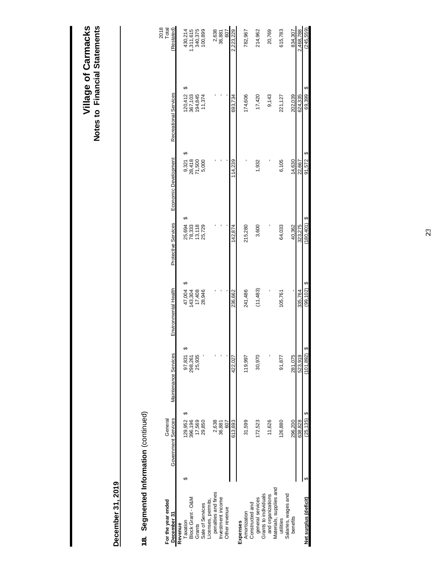| December 31, 2019                          |   |                                |                      |                             |                                      |                                    |                                         |                                            |
|--------------------------------------------|---|--------------------------------|----------------------|-----------------------------|--------------------------------------|------------------------------------|-----------------------------------------|--------------------------------------------|
| 18. Segmented Information (continued)      |   |                                |                      |                             |                                      |                                    |                                         |                                            |
| For the year ended<br>December 31          |   | Government Services<br>General | Maintenance Services | Environmental Health        | Protective Services                  | Economic Development               | Recreational Services                   | 2018<br>Total<br>(Restated)                |
| Taxation<br>Revenue                        | ↮ | ↮<br>129,952                   | ↮<br>97,831          | ↔<br>47,004                 | ↮                                    | ↔                                  | ↔                                       |                                            |
| Block Grant - O&M                          |   | 396,196                        | 298,261              |                             | 25,694<br>78,333<br>13,118<br>25,729 | 9,321<br>28,418<br>71,500<br>5,000 | 120,412<br>367,103<br>194,845<br>11,374 | 430,214<br>1,311,615<br>340,375<br>100,899 |
| Grants                                     |   | 17,569                         | 25,935               |                             |                                      |                                    |                                         |                                            |
| Sale of Services                           |   | 29,850                         |                      | 143,304<br>17,408<br>28,946 |                                      |                                    |                                         |                                            |
| penalties and fines<br>Licenses, permits,  |   | 2,638                          |                      |                             |                                      |                                    |                                         |                                            |
| Investment income<br>Other revenue         |   | 36,881<br>607                  |                      |                             |                                      |                                    |                                         | 2,638<br>36,881<br>607                     |
|                                            |   | 613,693                        | 422,027              | 236,662                     | 142,874                              | 114,239                            | 693,734                                 | 2,223,229                                  |
| Amortization<br>Expenses                   |   | 31,599                         | 119,997              | 241,486                     | 215,280                              |                                    | 174,606                                 | 782,967                                    |
| general services<br>Constructed and        |   | 172,523                        | 30,970               | (11,483)                    | 3,600                                | 1,932                              | 17,420                                  | 214,962                                    |
| Grants to individuals<br>and organizations |   | 11,626                         |                      |                             |                                      |                                    | 9,143                                   | 20,769                                     |
| Materials, supplies and<br>utilities       |   | 126,880                        | 91,877               | 105,761                     | 64,033                               | 6,105                              | 221,127                                 | 615,783                                    |
| Salaries, wages and<br>benefits            |   | 296,200                        | 281,075              |                             | 40,362                               | 14,630                             | 202,039                                 | 834,307                                    |
|                                            |   | 638,828                        | 523,919              | 335,764                     | 323,275                              | 22,667                             | 624,335                                 | 2,468,788                                  |
| Net surplus (deficit)                      | ക | $(25, 135)$ \$                 | ക<br>(101, 892)      | $(99, 102)$ \$              | $(180,401)$ \$                       | ↔<br>91,572                        | ↮<br>69,399                             | (245, 559)                                 |

# $\frac{1}{2}$

**Village of Carmacks**

Village of Carmacks<br>Notes to Financial Statements

**Notes to Financial Statements**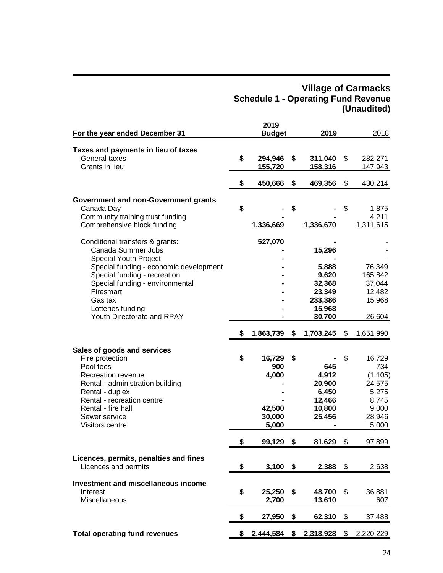## **Village of Carmacks Schedule 1 - Operating Fund Revenue (Unaudited)**

|                                                                                                                                                                                                                                         |          | 2019                                                          |          |                                                                         |               |                                                                                             |
|-----------------------------------------------------------------------------------------------------------------------------------------------------------------------------------------------------------------------------------------|----------|---------------------------------------------------------------|----------|-------------------------------------------------------------------------|---------------|---------------------------------------------------------------------------------------------|
| For the year ended December 31                                                                                                                                                                                                          |          | <b>Budget</b>                                                 |          | 2019                                                                    |               | 2018                                                                                        |
| Taxes and payments in lieu of taxes<br>General taxes<br>Grants in lieu                                                                                                                                                                  | \$       | 294,946<br>155,720                                            | \$       | 311,040<br>158,316                                                      | \$            | 282,271<br>147,943                                                                          |
|                                                                                                                                                                                                                                         | \$       | 450,666                                                       | \$       | 469,356                                                                 | \$            | 430,214                                                                                     |
| Government and non-Government grants<br>Canada Day<br>Community training trust funding<br>Comprehensive block funding                                                                                                                   | \$       | 1,336,669                                                     | \$       | 1,336,670                                                               | \$            | 1,875<br>4,211<br>1,311,615                                                                 |
| Conditional transfers & grants:<br>Canada Summer Jobs<br>Special Youth Project<br>Special funding - economic development                                                                                                                |          | 527,070                                                       |          | 15,296<br>5,888                                                         |               | 76,349                                                                                      |
| Special funding - recreation<br>Special funding - environmental<br>Firesmart<br>Gas tax<br>Lotteries funding                                                                                                                            |          |                                                               |          | 9,620<br>32,368<br>23,349<br>233,386<br>15,968                          |               | 165,842<br>37,044<br>12,482<br>15,968                                                       |
| Youth Directorate and RPAY                                                                                                                                                                                                              | \$       | 1,863,739                                                     | \$       | 30,700<br>1,703,245                                                     | \$            | 26,604<br>1,651,990                                                                         |
| Sales of goods and services<br>Fire protection<br>Pool fees<br>Recreation revenue<br>Rental - administration building<br>Rental - duplex<br>Rental - recreation centre<br>Rental - fire hall<br>Sewer service<br><b>Visitors centre</b> | \$<br>\$ | 16,729<br>900<br>4,000<br>42,500<br>30,000<br>5,000<br>99,129 | \$<br>\$ | 645<br>4,912<br>20,900<br>6,450<br>12,466<br>10,800<br>25,456<br>81,629 | \$<br>\$      | 16,729<br>734<br>(1, 105)<br>24,575<br>5,275<br>8,745<br>9,000<br>28,946<br>5,000<br>97,899 |
| Licences, permits, penalties and fines                                                                                                                                                                                                  |          |                                                               |          |                                                                         |               |                                                                                             |
| Licences and permits                                                                                                                                                                                                                    | \$       | 3,100                                                         | \$       | 2,388                                                                   | \$            | 2,638                                                                                       |
| Investment and miscellaneous income<br>Interest<br>Miscellaneous                                                                                                                                                                        | \$       | 25,250<br>2,700                                               | \$       | 48,700<br>13,610                                                        | \$            | 36,881<br>607                                                                               |
|                                                                                                                                                                                                                                         | \$       | 27,950                                                        | \$       | 62,310                                                                  | \$            | 37,488                                                                                      |
| <b>Total operating fund revenues</b>                                                                                                                                                                                                    | \$       | 2,444,584                                                     | \$       | 2,318,928                                                               | $\frac{1}{2}$ | 2,220,229                                                                                   |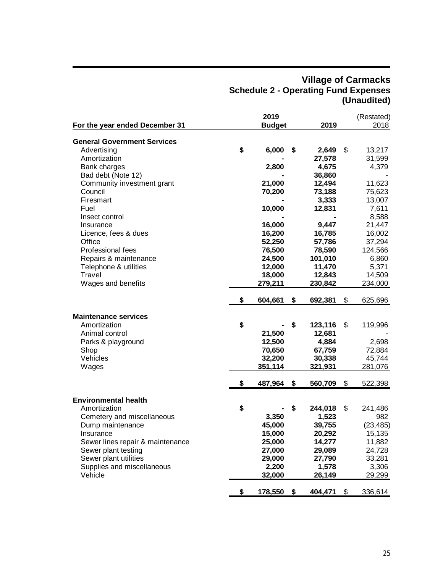## **Village of Carmacks Schedule 2 - Operating Fund Expenses (Unaudited)**

| For the year ended December 31     | 2019<br><b>Budget</b> | 2019          | (Restated)<br>2018 |
|------------------------------------|-----------------------|---------------|--------------------|
| <b>General Government Services</b> |                       |               |                    |
| Advertising                        | \$<br>6,000           | \$<br>2,649   | \$<br>13,217       |
| Amortization                       |                       | 27,578        | 31,599             |
| Bank charges                       | 2,800                 | 4,675         | 4,379              |
| Bad debt (Note 12)                 |                       | 36,860        |                    |
| Community investment grant         | 21,000                | 12,494        | 11,623             |
| Council                            | 70,200                | 73,188        | 75,623             |
| Firesmart                          |                       | 3,333         | 13,007             |
| Fuel                               | 10,000                | 12,831        | 7,611              |
| Insect control                     |                       |               | 8,588              |
| Insurance                          | 16,000                | 9,447         | 21,447             |
| Licence, fees & dues               | 16,200                | 16,785        | 16,002             |
| Office                             | 52,250                | 57,786        | 37,294             |
| <b>Professional fees</b>           | 76,500                | 78,590        | 124,566            |
| Repairs & maintenance              | 24,500                | 101,010       | 6,860              |
| Telephone & utilities              | 12,000                | 11,470        | 5,371              |
| Travel                             | 18,000                | 12,843        | 14,509             |
| Wages and benefits                 | 279,211               | 230,842       | 234,000            |
|                                    | \$<br>604,661         | \$<br>692,381 | \$<br>625,696      |
| <b>Maintenance services</b>        |                       |               |                    |
| Amortization                       | \$                    | \$<br>123,116 | \$<br>119,996      |
| Animal control                     | 21,500                | 12,681        |                    |
| Parks & playground                 | 12,500                | 4,884         | 2,698              |
| Shop                               | 70,650                | 67,759        | 72,884             |
| Vehicles                           | 32,200                | 30,338        | 45,744             |
| Wages                              | 351,114               | 321,931       | 281,076            |
|                                    | \$<br>487,964         | \$<br>560,709 | \$<br>522,398      |
| <b>Environmental health</b>        |                       |               |                    |
| Amortization                       | \$                    | \$<br>244,018 | \$<br>241,486      |
| Cemetery and miscellaneous         | 3,350                 | 1,523         | 982                |
| Dump maintenance                   | 45,000                | 39,755        | (23, 485)          |
| Insurance                          | 15,000                | 20,292        | 15,135             |
| Sewer lines repair & maintenance   | 25,000                | 14,277        | 11,882             |
| Sewer plant testing                | 27,000                | 29,089        | 24,728             |
| Sewer plant utilities              | 29,000                | 27,790        | 33,281             |
| Supplies and miscellaneous         | 2,200                 | 1,578         | 3,306              |
| Vehicle                            | 32,000                | 26,149        | <u>29,299</u>      |
|                                    | \$<br>178,550         | \$<br>404,471 | \$<br>336,614      |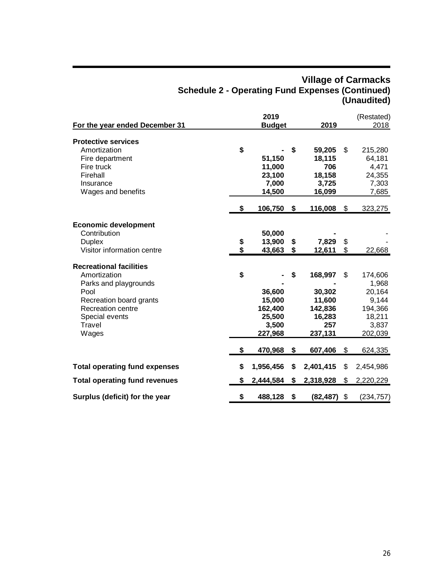## **Village of Carmacks Schedule 2 - Operating Fund Expenses (Continued) (Unaudited)**

| For the year ended December 31                                                                                                                                              |          | 2019<br><b>Budget</b>                                     |          | 2019                                                               |          | (Restated)<br>2018                                                           |
|-----------------------------------------------------------------------------------------------------------------------------------------------------------------------------|----------|-----------------------------------------------------------|----------|--------------------------------------------------------------------|----------|------------------------------------------------------------------------------|
| <b>Protective services</b><br>Amortization<br>Fire department<br>Fire truck<br>Firehall<br>Insurance<br>Wages and benefits                                                  | \$       | 51,150<br>11,000<br>23,100<br>7,000<br>14,500             | \$       | 59,205<br>18,115<br>706<br>18,158<br>3,725<br>16,099               | \$       | 215,280<br>64,181<br>4,471<br>24,355<br>7,303<br>7,685                       |
|                                                                                                                                                                             | \$       | 106,750                                                   | \$       | 116,008                                                            | \$       | 323,275                                                                      |
| <b>Economic development</b><br>Contribution<br><b>Duplex</b><br>Visitor information centre                                                                                  | \$<br>\$ | 50,000<br>13,900<br>43,663                                | \$<br>\$ | 7,829<br>12,611                                                    | \$<br>\$ | 22,668                                                                       |
| <b>Recreational facilities</b><br>Amortization<br>Parks and playgrounds<br>Pool<br>Recreation board grants<br><b>Recreation centre</b><br>Special events<br>Travel<br>Wages | \$       | 36,600<br>15,000<br>162,400<br>25,500<br>3,500<br>227,968 | \$       | 168,997<br>30,302<br>11,600<br>142,836<br>16,283<br>257<br>237,131 | \$       | 174,606<br>1,968<br>20,164<br>9,144<br>194,366<br>18,211<br>3,837<br>202,039 |
|                                                                                                                                                                             | \$       | 470,968                                                   | \$       | 607,406                                                            | \$       | 624,335                                                                      |
| <b>Total operating fund expenses</b><br><b>Total operating fund revenues</b>                                                                                                | \$<br>\$ | 1,956,456<br>2,444,584                                    | \$<br>\$ | 2,401,415<br>2,318,928                                             | \$<br>\$ | 2,454,986<br>2,220,229                                                       |
| Surplus (deficit) for the year                                                                                                                                              | \$       | 488,128                                                   | \$       | (82, 487)                                                          | -\$      | (234, 757)                                                                   |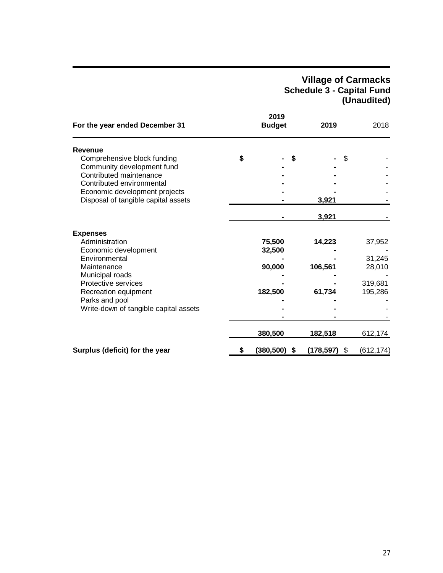## **Village of Carmacks Schedule 3 - Capital Fund (Unaudited)**

| For the year ended December 31                       | 2019<br><b>Budget</b> | 2019       | 2018             |
|------------------------------------------------------|-----------------------|------------|------------------|
| Revenue                                              |                       |            |                  |
| Comprehensive block funding                          | \$<br>\$              |            | \$               |
| Community development fund                           |                       |            |                  |
| Contributed maintenance<br>Contributed environmental |                       |            |                  |
| Economic development projects                        |                       |            |                  |
| Disposal of tangible capital assets                  |                       | 3,921      |                  |
|                                                      |                       | 3,921      |                  |
| <b>Expenses</b>                                      |                       |            |                  |
| Administration                                       | 75,500                | 14,223     | 37,952           |
| Economic development                                 | 32,500                |            |                  |
| Environmental                                        |                       |            | 31,245           |
| Maintenance                                          | 90,000                | 106,561    | 28,010           |
| Municipal roads                                      |                       |            |                  |
| Protective services                                  |                       |            | 319,681          |
| Recreation equipment                                 | 182,500               | 61,734     | 195,286          |
| Parks and pool                                       |                       |            |                  |
| Write-down of tangible capital assets                |                       |            |                  |
|                                                      | 380,500               | 182,518    | 612,174          |
| Surplus (deficit) for the year                       | \$<br>$(380, 500)$ \$ | (178, 597) | \$<br>(612, 174) |